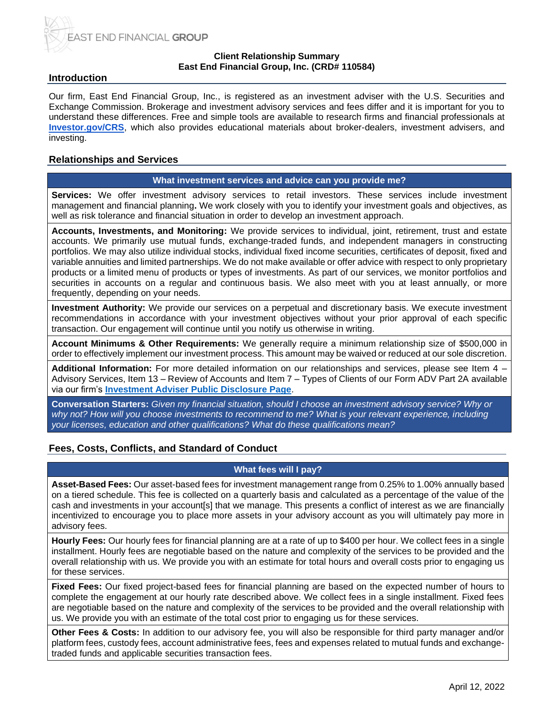

### **Client Relationship Summary East End Financial Group, Inc. (CRD# 110584)**

## **Introduction**

Our firm, East End Financial Group, Inc., is registered as an investment adviser with the U.S. Securities and Exchange Commission. Brokerage and investment advisory services and fees differ and it is important for you to understand these differences. Free and simple tools are available to research firms and financial professionals at **[Investor.gov/CRS](http://investor.gov/CRS)**, which also provides educational materials about broker-dealers, investment advisers, and investing.

## **Relationships and Services**

#### **What investment services and advice can you provide me?**

**Services:** We offer investment advisory services to retail investors. These services include investment management and financial planning**.** We work closely with you to identify your investment goals and objectives, as well as risk tolerance and financial situation in order to develop an investment approach.

**Accounts, Investments, and Monitoring:** We provide services to individual, joint, retirement, trust and estate accounts. We primarily use mutual funds, exchange-traded funds, and independent managers in constructing portfolios. We may also utilize individual stocks, individual fixed income securities, certificates of deposit, fixed and variable annuities and limited partnerships. We do not make available or offer advice with respect to only proprietary products or a limited menu of products or types of investments. As part of our services, we monitor portfolios and securities in accounts on a regular and continuous basis. We also meet with you at least annually, or more frequently, depending on your needs.

**Investment Authority:** We provide our services on a perpetual and discretionary basis. We execute investment recommendations in accordance with your investment objectives without your prior approval of each specific transaction. Our engagement will continue until you notify us otherwise in writing.

**Account Minimums & Other Requirements:** We generally require a minimum relationship size of \$500,000 in order to effectively implement our investment process. This amount may be waived or reduced at our sole discretion.

**Additional Information:** For more detailed information on our relationships and services, please see Item 4 – Advisory Services, Item 13 – Review of Accounts and Item 7 – Types of Clients of our Form ADV Part 2A available via our firm's **[Investment Adviser Public Disclosure Page](https://adviserinfo.sec.gov/firm/summary/110584)**.

**Conversation Starters:** *Given my financial situation, should I choose an investment advisory service? Why or why not? How will you choose investments to recommend to me? What is your relevant experience, including your licenses, education and other qualifications? What do these qualifications mean?*

## **Fees, Costs, Conflicts, and Standard of Conduct**

## **What fees will I pay?**

**Asset-Based Fees:** Our asset-based fees for investment management range from 0.25% to 1.00% annually based on a tiered schedule. This fee is collected on a quarterly basis and calculated as a percentage of the value of the cash and investments in your account[s] that we manage. This presents a conflict of interest as we are financially incentivized to encourage you to place more assets in your advisory account as you will ultimately pay more in advisory fees.

**Hourly Fees:** Our hourly fees for financial planning are at a rate of up to \$400 per hour. We collect fees in a single installment. Hourly fees are negotiable based on the nature and complexity of the services to be provided and the overall relationship with us. We provide you with an estimate for total hours and overall costs prior to engaging us for these services.

**Fixed Fees:** Our fixed project-based fees for financial planning are based on the expected number of hours to complete the engagement at our hourly rate described above. We collect fees in a single installment. Fixed fees are negotiable based on the nature and complexity of the services to be provided and the overall relationship with us. We provide you with an estimate of the total cost prior to engaging us for these services.

**Other Fees & Costs:** In addition to our advisory fee, you will also be responsible for third party manager and/or platform fees, custody fees, account administrative fees, fees and expenses related to mutual funds and exchangetraded funds and applicable securities transaction fees.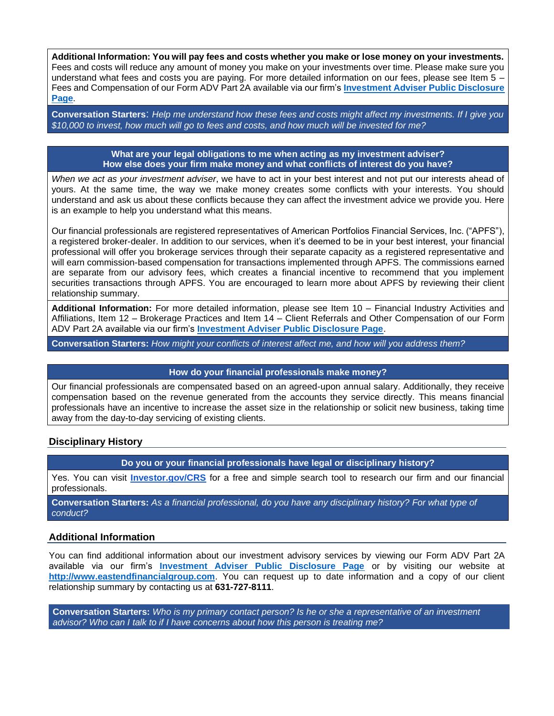**Additional Information: You will pay fees and costs whether you make or lose money on your investments.**  Fees and costs will reduce any amount of money you make on your investments over time. Please make sure you understand what fees and costs you are paying. For more detailed information on our fees, please see Item 5 – Fees and Compensation of our Form ADV Part 2A available via our firm's **[Investment Adviser Public Disclosure](https://adviserinfo.sec.gov/firm/summary/110584)  [Page](https://adviserinfo.sec.gov/firm/summary/110584)**.

**Conversation Starters**: *Help me understand how these fees and costs might affect my investments. If I give you \$10,000 to invest, how much will go to fees and costs, and how much will be invested for me?*

> **What are your legal obligations to me when acting as my investment adviser? How else does your firm make money and what conflicts of interest do you have?**

*When we act as your investment adviser*, we have to act in your best interest and not put our interests ahead of yours. At the same time, the way we make money creates some conflicts with your interests. You should understand and ask us about these conflicts because they can affect the investment advice we provide you. Here is an example to help you understand what this means.

Our financial professionals are registered representatives of American Portfolios Financial Services, Inc. ("APFS"), a registered broker-dealer. In addition to our services, when it's deemed to be in your best interest, your financial professional will offer you brokerage services through their separate capacity as a registered representative and will earn commission-based compensation for transactions implemented through APFS. The commissions earned are separate from our advisory fees, which creates a financial incentive to recommend that you implement securities transactions through APFS. You are encouraged to learn more about APFS by reviewing their client relationship summary.

**Additional Information:** For more detailed information, please see Item 10 – Financial Industry Activities and Affiliations, Item 12 – Brokerage Practices and Item 14 – Client Referrals and Other Compensation of our Form ADV Part 2A available via our firm's **[Investment Adviser Public Disclosure Page](https://adviserinfo.sec.gov/firm/summary/110584)**.

**Conversation Starters:** *How might your conflicts of interest affect me, and how will you address them?*

#### **How do your financial professionals make money?**

Our financial professionals are compensated based on an agreed-upon annual salary. Additionally, they receive compensation based on the revenue generated from the accounts they service directly. This means financial professionals have an incentive to increase the asset size in the relationship or solicit new business, taking time away from the day-to-day servicing of existing clients.

### **Disciplinary History**

**Do you or your financial professionals have legal or disciplinary history?**

Yes. You can visit **[Investor.gov/CRS](http://investor.gov/CRS)** for a free and simple search tool to research our firm and our financial professionals.

**Conversation Starters:** *As a financial professional, do you have any disciplinary history? For what type of conduct?*

### **Additional Information**

You can find additional information about our investment advisory services by viewing our Form ADV Part 2A available via our firm's **[Investment Adviser Public Disclosure Page](https://adviserinfo.sec.gov/firm/summary/110584)** or by visiting our website at **[http://www.eastendfinancialgroup.com](http://www.eastendfinancialgroup.com/)**. You can request up to date information and a copy of our client relationship summary by contacting us at **631-727-8111**.

**Conversation Starters:** *Who is my primary contact person? Is he or she a representative of an investment advisor? Who can I talk to if I have concerns about how this person is treating me?*